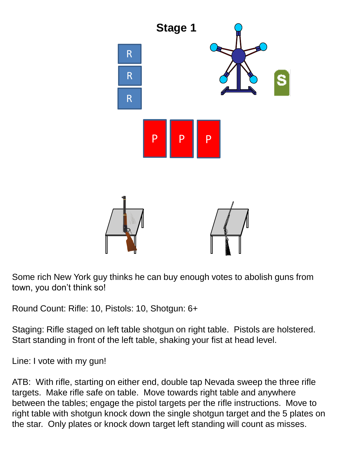

Some rich New York guy thinks he can buy enough votes to abolish guns from town, you don't think so!

Round Count: Rifle: 10, Pistols: 10, Shotgun: 6+

Staging: Rifle staged on left table shotgun on right table. Pistols are holstered. Start standing in front of the left table, shaking your fist at head level.

Line: I vote with my gun!

ATB: With rifle, starting on either end, double tap Nevada sweep the three rifle targets. Make rifle safe on table. Move towards right table and anywhere between the tables; engage the pistol targets per the rifle instructions. Move to right table with shotgun knock down the single shotgun target and the 5 plates on the star. Only plates or knock down target left standing will count as misses.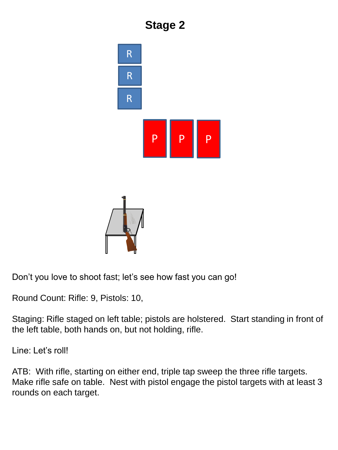





Don't you love to shoot fast; let's see how fast you can go!

Round Count: Rifle: 9, Pistols: 10,

Staging: Rifle staged on left table; pistols are holstered. Start standing in front of the left table, both hands on, but not holding, rifle.

Line: Let's roll!

ATB: With rifle, starting on either end, triple tap sweep the three rifle targets. Make rifle safe on table. Nest with pistol engage the pistol targets with at least 3 rounds on each target.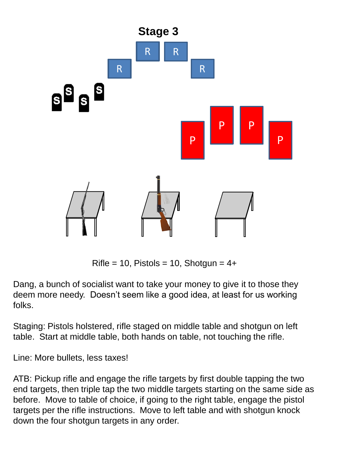

Rifle = 10, Pistols = 10, Shotgun =  $4+$ 

Dang, a bunch of socialist want to take your money to give it to those they deem more needy. Doesn't seem like a good idea, at least for us working folks.

Staging: Pistols holstered, rifle staged on middle table and shotgun on left table. Start at middle table, both hands on table, not touching the rifle.

Line: More bullets, less taxes!

ATB: Pickup rifle and engage the rifle targets by first double tapping the two end targets, then triple tap the two middle targets starting on the same side as before. Move to table of choice, if going to the right table, engage the pistol targets per the rifle instructions. Move to left table and with shotgun knock down the four shotgun targets in any order.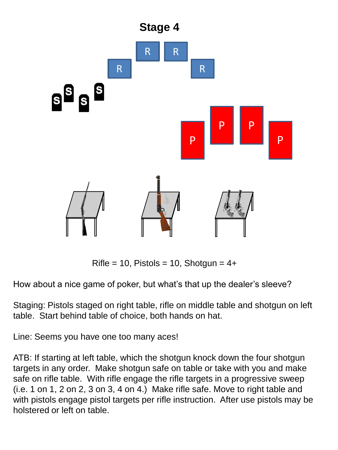

Rifle = 10, Pistols = 10, Shotgun =  $4+$ 

How about a nice game of poker, but what's that up the dealer's sleeve?

Staging: Pistols staged on right table, rifle on middle table and shotgun on left table. Start behind table of choice, both hands on hat.

Line: Seems you have one too many aces!

ATB: If starting at left table, which the shotgun knock down the four shotgun targets in any order. Make shotgun safe on table or take with you and make safe on rifle table. With rifle engage the rifle targets in a progressive sweep (i.e. 1 on 1, 2 on 2, 3 on 3, 4 on 4.) Make rifle safe. Move to right table and with pistols engage pistol targets per rifle instruction. After use pistols may be holstered or left on table.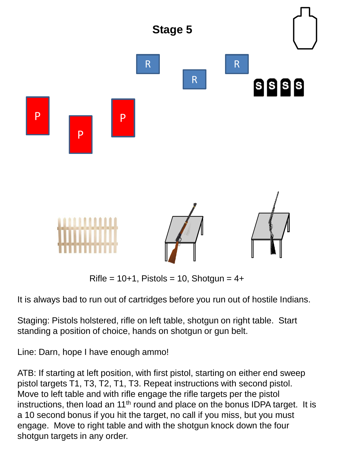

 $Rifle = 10+1$ , Pistols = 10, Shotgun =  $4+$ 

It is always bad to run out of cartridges before you run out of hostile Indians.

Staging: Pistols holstered, rifle on left table, shotgun on right table. Start standing a position of choice, hands on shotgun or gun belt.

Line: Darn, hope I have enough ammo!

ATB: If starting at left position, with first pistol, starting on either end sweep pistol targets T1, T3, T2, T1, T3. Repeat instructions with second pistol. Move to left table and with rifle engage the rifle targets per the pistol instructions, then load an  $11<sup>th</sup>$  round and place on the bonus IDPA target. It is a 10 second bonus if you hit the target, no call if you miss, but you must engage. Move to right table and with the shotgun knock down the four shotgun targets in any order.